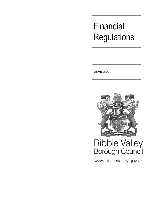## Financial **Regulations**

March 2022



# Ribble Valley<br>Borough Council

www.ribblevalley.gov.uk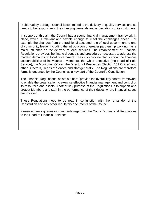Ribble Valley Borough Council is committed to the delivery of quality services and so needs to be responsive to the changing demands and expectations of its customers.

In support of this aim the Council has a sound financial management framework in place, which is relevant and flexible enough to meet the challenges ahead. For example the changes from the traditional accepted role of local government to one of community leader including the introduction of greater partnership working has a major influence on the delivery of local services. The establishment of Financial Regulations provides the financial controls and procedures necessary to address the modern demands on local government. They also provide clarity about the financial accountabilities of individuals - Members, the Chief Executive (the Head of Paid Service), the Monitoring Officer, the Director of Resources (Section 151 Officer) and other Directors, Heads of Service and staff generally. The Regulations are therefore formally endorsed by the Council as a key part of the Council's Constitution.

The Financial Regulations, as set out here, provide the overall key control framework to enable the organisation to exercise effective financial management and control of its resources and assets. Another key purpose of the Regulations is to support and protect Members and staff in the performance of their duties where financial issues are involved.

These Regulations need to be read in conjunction with the remainder of the Constitution and any other regulatory documents of the Council.

Please address queries or comments regarding the Council's Financial Regulations to the Head of Financial Services.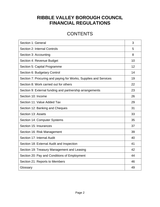### **RIBBLE VALLEY BOROUGH COUNCIL FINANCIAL REGULATIONS**

### **CONTENTS**

| Section 1: General                                               | 3  |
|------------------------------------------------------------------|----|
| Section 2: Internal Controls                                     | 5  |
| Section 3: Accounting                                            | 8  |
| Section 4: Revenue Budget                                        | 10 |
| Section 5: Capital Programme                                     | 12 |
| Section 6: Budgetary Control                                     | 14 |
| Section 7: Procuring and paying for Works, Supplies and Services | 19 |
| Section 8: Work carried out for others                           | 22 |
| Section 9: External funding and partnership arrangements         | 23 |
| Section 10: Income                                               | 26 |
| Section 11: Value Added Tax                                      | 29 |
| Section 12: Banking and Cheques                                  | 31 |
| Section 13: Assets                                               | 33 |
| Section 14: Computer Systems                                     | 35 |
| Section 15: Insurances                                           | 37 |
| Section 16: Risk Management                                      | 39 |
| Section 17: Internal Audit                                       | 40 |
| Section 18: External Audit and Inspection                        | 41 |
| Section 19: Treasury Management and Leasing                      | 42 |
| Section 20: Pay and Conditions of Employment                     | 44 |
| Section 21: Reports to Members                                   | 46 |
| Glossary                                                         | 49 |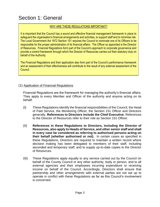### Section 1: General

#### WHY ARE THESE REGULATIONS IMPORTANT?

It is important that the Council has a sound and effective financial management framework in place to safeguard the organisation's financial arrangements and activities, to support staff and to minimise risk. The Local Government Act 1972 Section 151 requires the Council to nominate one of its Officers to be responsible for the proper administration of its financial affairs. The Officer so appointed is the Director of Resources. Financial Regulations form part of the Council's approach to corporate governance and provide a control framework through which the Director of Resources carries out their statutory duty on behalf of the Authority.

The Financial Regulations and their application also form part of the Council's performance framework and an assessment of their effectiveness will contribute to the result of any external assessment of the Council.

#### (1) Application of Financial Regulations

Financial Regulations are the framework for managing the authority's financial affairs. They apply to every Member and Officer of the authority and anyone acting on its behalf:

- (i) These Regulations identify the financial responsibilities of the Council, the Head of Paid Service, the Monitoring Officer, the Section 151 Officer and Directors generally. **References to Directors include the Chief Executive.** References to the Director of Resources refer to their role as Section 151 Officer.
- (ii) **References in these Regulations to Directors, including the Director of Resources, also apply to Heads of Service, and other senior staff and shall in every case be considered as referring to authorised persons acting on their behalf (whether authorised or not).** In certain cases as specified in these Regulations, Directors are required to maintain a written record where decision making has been delegated to members of their staff, including seconded and temporary staff, and to supply up-to-date copies to the Director of Resources.
- (iii) These Regulations apply equally to any service carried out by the Council on behalf of the County Council or any other authority, body or person, and to all external agencies and their employees incurring expenditure or receiving income on behalf of the Council. Accordingly, Directors shall ensure that partnership and other arrangements with external parties are not set up to operate in conflict with these Regulations as far as this Council's involvement is concerned.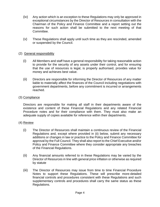- (iv) Any action which is an exception to these Regulations may only be approved in exceptional circumstances by the Director of Resources in consultation with the Chairman of the Policy and Finance Committee and a report setting out the reasons for such action shall be submitted to the next meeting of that Committee.
- (v) These Regulations shall apply until such time as they are rescinded, amended or suspended by the Council.

#### (2) General responsibility

- (i) All Members and staff have a general responsibility for taking reasonable action to provide for the security of any assets under their control, and for ensuring that the use of resources is legal, is properly authorised, provides value for money and achieves best value.
- (ii) Directors are responsible for informing the Director of Resources of any matter liable to materially affect the finances of the Council including negotiations with government departments, before any commitment is incurred or arrangements reached.

#### (3) Compliance

Directors are responsible for making all staff in their departments aware of the existence and content of these Financial Regulations and any related Financial Procedure notes and for their compliance with them. They must also make an adequate supply of copies available for reference within their departments.

#### (4) Review

- (i) The Director of Resources shall maintain a continuous review of the Financial Regulations and, except where provided in (ii) below, submit any necessary additions or changes in law or practice to the Policy and Finance Committee for approval by the Full Council. They shall also report to the Chief Executive and/or Policy and Finance Committee where they consider appropriate any breaches of the Financial Regulations.
- (ii) Any financial amounts referred to in these Regulations may be varied by the Director of Resources in line with general price inflation or otherwise as required by statute
- (iii) The Director of Resources may issue from time to time Financial Procedure Notes to support these Regulations. These will prescribe more-detailed financial controls and procedures consistent with these Regulations and such supplementary controls and procedures shall carry the same status as these Regulations.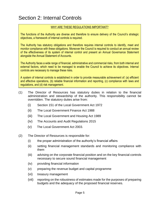### Section 2: Internal Controls

#### WHY ARE THESE REGULATIONS IMPORTANT?

The functions of the Authority are diverse and therefore to ensure delivery of the Council's strategic objectives, a framework of internal controls is required.

The Authority has statutory obligations and therefore requires internal controls to identify, meet and monitor compliance with these obligations. Moreover the Council is required to conduct an annual review of the effectiveness of its system of internal control and present an Annual Governance Statement alongside the Annual Statement of Accounts.

The Authority faces a wide range of financial, administrative and commercial risks, from both internal and external factors, which need to be managed to enable the Council to achieve its objectives. Internal controls are necessary to manage these risks.

A system of internal controls is established in order to provide measurable achievement of: (a) efficient and effective operations, (b) reliable financial information and reporting, (c) compliance with laws and regulations, and (d) risk management.

- (1) The Director of Resources has statutory duties in relation to the financial administration and stewardship of the authority. This responsibility cannot be overridden. The statutory duties arise from:
	- (i) Section 151 of the Local Government Act 1972
	- (ii) The Local Government Finance Act 1988
	- (iii) The Local Government and Housing Act 1989
	- (iv) The Accounts and Audit Regulations 2015
	- (v) The Local Government Act 2003.
- (2) The Director of Resources is responsible for:
	- (i) the proper administration of the authority's financial affairs
	- (ii) setting financial management standards and monitoring compliance with them
	- (iii) advising on the corporate financial position and on the key financial controls necessary to secure sound financial management
	- (iv) providing financial information
	- (v) preparing the revenue budget and capital programme
	- (vi) treasury management
	- (vii) reporting on the robustness of estimates made for the purposes of preparing budgets and the adequacy of the proposed financial reserves.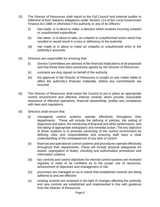- (3) The Director of Resources shall report to the Full Council and external auditor in fulfilment of their statutory obligations under Section 114 of the Local Government Finance Act 1988 or otherwise if the authority or any of its Officers:
	- (i) has made, or is about to make, a decision which involves incurring unlawful or unauthorised expenditure
	- (ii) has taken, or is about to take, an unlawful or unauthorised action which has resulted or would result in a loss or deficiency to the authority
	- (iii) has made or is about to make an unlawful or unauthorised entry in the authority's accounts.
- (4) Directors are responsible for ensuring that:
	- (i) Service Committees are advised of the financial implications of all proposals and that these have been previously agreed by the Director of Resources.
	- (ii) contracts are duly signed on behalf of the authority
	- (iii) the approval of the Director of Resources is sought on any matter liable to affect the authority's finances materially, before any commitments are incurred.
- (5) The Director of Resources shall assist the Council to put in place an appropriate control environment and effective internal controls which provide reasonable assurance of effective operations, financial stewardship, probity and compliance with laws and regulations.
- (6) Directors shall ensure that:
	- (i) managerial control systems operate effectively throughout their departments. These will include the defining of policies, the setting of objectives and plans, the monitoring of financial and other performance, and the taking of appropriate anticipatory and remedial action. The key objective of these systems is to promote ownership of the control environment by defining roles and responsibilities and ensuring staff have a clear understanding of the consequences of any lack of control
	- (ii) financial and operational control systems and procedures operate effectively throughout their departments. These will include physical safeguards for assets, segregation of duties, checking and authorisation procedures and information systems
	- (iii) key controls and control objectives for internal control systems are reviewed regularly in order to be confident as to the proper use of resources, achievement of objectives and management of risk.
	- (iv) processes are managed so as to check that established controls are being adhered to and are effective
	- (v) existing controls are reviewed in the light of changes affecting the authority and new controls are established and implemented in line with guidance from the Director of Resources.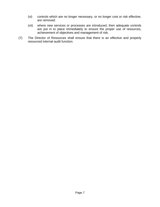- (vi) controls which are no longer necessary, or no longer cost or risk effective, are removed.
- (vii) where new services or processes are introduced, then adequate controls are put in to place immediately to ensure the proper use of resources, achievement of objectives and management of risk.
- (7) The Director of Resources shall ensure that there is an effective and properly resourced internal audit function. 8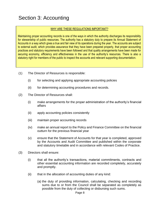### Section 3: Accounting

#### WHY ARE THESE REGULATIONS IMPORTANT?

Maintaining proper accounting records is one of the ways in which the authority discharges its responsibility for stewardship of public resources. The authority has a statutory duty to prepare its Annual Statement of Accounts in a way which gives a true and fair view of its operations during the year. The accounts are subject to external audit, which provides assurance that they have been prepared properly, that proper accounting practices and statutory requirements have been followed and that quality arrangements have been made for securing economy, efficiency and effectiveness in the use of the authority's resources. There is also a statutory right for members of the public to inspect the accounts and relevant supporting documentation.

- (1) The Director of Resources is responsible:
	- (i) for selecting and applying appropriate accounting policies
	- (ii) for determining accounting procedures and records.
- (2) The Director of Resources shall:
	- (i) make arrangements for the proper administration of the authority's financial affairs
	- (ii) apply accounting policies consistently
	- (iii) maintain proper accounting records
	- (iv) make an annual report to the Policy and Finance Committee on the financial outturn for the previous financial year
	- (v) ensure that the Statement of Accounts for that year is completed, approved by the Accounts and Audit Committee and published within the corporate and statutory timetable and in accordance with relevant Codes of Practice.
- (3) Directors shall ensure:
	- (i) that all the authority's transactions, material commitments, contracts and other essential accounting information are recorded completely, accurately and promptly.
	- (ii) that in the allocation of accounting duties of any kind:
		- (a) the duty of providing information, calculating, checking and recording sums due to or from the Council shall be separated as completely as possible from the duty of collecting or disbursing such sums.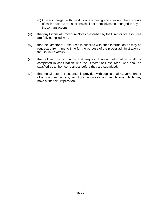- (b) Officers charged with the duty of examining and checking the accounts of cash or stores transactions shall not themselves be engaged in any of those transactions.
- (iii) that any Financial Procedure Notes prescribed by the Director of Resources are fully complied with.
- (iv) that the Director of Resources is supplied with such information as may be requested from time to time for the purpose of the proper administration of the Council's affairs.
- (v) that all returns or claims that request financial information shall be completed in consultation with the Director of Resources, who shall be satisfied as to their correctness before they are submitted.
- (vi) that the Director of Resources is provided with copies of all Government or other circulars, orders, sanctions, approvals and regulations which may have a financial implication.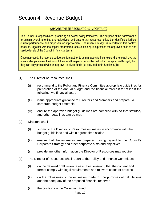### Section 4: Revenue Budget

#### WHY ARE THESE REGULATIONS IMPORTANT?

The Council is responsible for producing an overall policy framework. The purpose of the framework is to explain overall priorities and objectives, and ensure that resources follow the identified priorities, current performance and proposals for improvement. The revenue budget is important in this context because, together with the capital programme (see Section 5), it expresses the approved policies and service levels of the Council in financial terms.

Once approved, the revenue budget confers authority on managers to incur expenditure to achieve the aims and objectives of the Council. If expenditure plans cannot be met within the approved budget, then they can only proceed with an approval to divert funds (as provided for in Section 6(4)).

- (1) The Director of Resources shall:
	- (i) recommend to the Policy and Finance Committee appropriate guidelines for preparation of the annual budget and the financial forecast for at least the following two financial years
	- (ii) issue appropriate guidance to Directors and Members and prepare a corporate budget timetable
	- (iii) ensure the approved budget guidelines are complied with so that statutory and other deadlines can be met.
- (2) Directors shall:
	- (i) submit to the Director of Resources estimates in accordance with the budget guidelines and within agreed time scales
	- (ii) ensure that the estimates are prepared having regard to the Council's Corporate Strategy and other corporate aims and objectives
	- (iii) provide any other information the Director of Resources may require.
- (3) The Director of Resources shall report to the Policy and Finance Committee:
	- (i) on the detailed draft revenue estimates, ensuring that the content and format comply with legal requirements and relevant codes of practice
	- (ii) on the robustness of the estimates made for the purposes of calculations and the adequacy of the proposed financial reserves
	- (iii) the position on the Collection Fund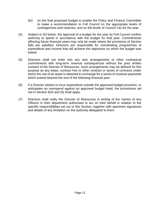- (iv) on the final proposed budget to enable the Policy and Finance Committee to make a recommendation to Full Council on the appropriate levels of contingencies and reserves, and on the levels of Council Tax for the year.
- (4) Subject to (5) below, the approval of a budget for the year by Full Council confers authority to spend in accordance with the budget for that year. Commitments affecting future financial years may only be made where the provisions of Section 6(6) are satisfied. Directors are responsible for coordinating programmes of expenditure and income that will achieve the objectives on which the budget was based.
- (5) Directors shall not enter into any new arrangements or other contractual commitments with long-term revenue consequences without the prior written consent of the Director of Resources. Such arrangements may be defined for this purpose as any lease, contract hire or other contract or series of contracts under which the use of an asset is obtained in exchange for a series of revenue payments which extend beyond the end of the following financial year.
- (6) If a Director wishes to incur expenditure outside the approved budget provision, or anticipates an overspend against an approved budget head, the procedures set out in Section 6(4) and (5) shall apply.
- (7) Directors shall notify the Director of Resources in writing of the names of any Officers in their department authorised to act on their behalf in relation to the specific responsibilities set out in this Section, together with specimen signatures and details of any limitation on the authority delegated to them.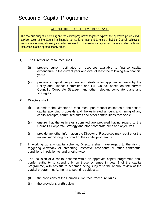### Section 5: Capital Programme

#### WHY ARE THESE REGULATIONS IMPORTANT?

The revenue budget (Section 4) and the capital programme together express the approved policies and service levels of the Council in financial terms. It is important to ensure that the Council achieves maximum economy, efficiency and effectiveness from the use of its capital resources and directs those resources into the agreed priority areas.

- (1) The Director of Resources shall:
	- (i) prepare current estimates of resources available to finance capital expenditure in the current year and over at least the following two financial years
	- (ii) prepare a capital programme and strategy for approval annually by the Policy and Finance Committee and Full Council based on the current Council's Corporate Strategy, and other relevant corporate plans and strategies.
- (2) Directors shall:
	- (i) submit to the Director of Resources upon request estimates of the cost of capital spending proposals and the estimated amount and timing of any capital receipts, commuted sums and other contributions receivable
	- (ii) ensure that the estimates submitted are prepared having regard to the Council's Corporate Strategy and other corporate aims and objectives.
	- (iii) provide any other information the Director of Resources may require for the review, monitoring or control of the capital programme.
- (3) In working up any capital scheme, Directors shall have regard to the risk of triggering clawback or breaching restrictive covenants or other contractual conditions in relation to land or otherwise.
- (4) The inclusion of a capital scheme within an approved capital programme shall confer authority to spend only on those schemes in year 1 of the capital programme, with any future schemes being subject to the annual review of the capital programme. Authority to spend is subject to:
	- (i) the provisions of the Council's Contract Procedure Rules
	- (ii) the provisions of (5) below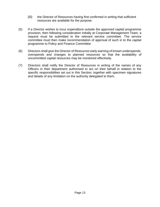- (iii) the Director of Resources having first confirmed in writing that sufficient resources are available for the purpose.
- (5) If a Director wishes to incur expenditure outside the approved capital programme provision, then following consideration initially at Corporate Management Team, a request must be submitted to the relevant service committee. The service committee must then make recommendation of approval of such in to the capital programme to Policy and Finance Committee
- (6) Directors shall give the Director of Resources early warning of known underspends, overspends and changes to planned resources so that the availability of uncommitted capital resources may be monitored effectively.
- (7) Directors shall notify the Director of Resources in writing of the names of any Officers in their department authorised to act on their behalf in relation to the specific responsibilities set out in this Section, together with specimen signatures and details of any limitation on the authority delegated to them.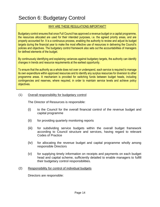### Section 6: Budgetary Control

#### WHY ARE THESE REGULATIONS IMPORTANT?

Budgetary control ensures that once Full Council has approved a revenue budget or a capital programme, the resources allocated are used for their intended purposes, i.e. the agreed priority areas, and are properly accounted for. It is a continuous process, enabling the authority to review and adjust its budget targets during the financial year to make the most effective use of resources in delivering the Council's policies and objectives. The budgetary control framework also sets out the accountabilities of managers for defined elements of the budget.

By continuously identifying and explaining variances against budgetary targets, the authority can identify changes in trends and resource requirements at the earliest opportunity.

To ensure that the authority as a whole does not over or underspend, each service is required to manage its own expenditure within approved resources and to identify any surplus resources for diversion to other programme areas. A mechanism is provided for switching funds between budget heads, including contingencies and reserves, where required, in order to maintain service levels and achieve policy objectives.

#### (1) Overall responsibility for budgetary control

The Director of Resources is responsible:

- (i) to the Council for the overall financial control of the revenue budget and capital programme
- (ii) for providing quarterly monitoring reports
- (iii) for subdividing service budgets within the overall budget framework according to Council structure and services, having regard to relevant Codes of Practice
- (iv) for allocating the revenue budget and capital programme wholly among responsible Directors
- (v) for supplying timely information on receipts and payments on each budget head and capital scheme, sufficiently detailed to enable managers to fulfill their budgetary control responsibilities.

#### (2) Responsibility for control of individual budgets

Directors are responsible: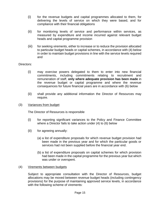- (i) for the revenue budgets and capital programmes allocated to them, for delivering the levels of service on which they were based, and for compliance with their financial obligations
- (ii) for monitoring levels of service and performance within services, as measured by expenditure and income incurred against relevant budget heads and capital programme provision
- (iii) for seeking virements, either to increase or to reduce the provision allocated to particular budget heads or capital schemes, in accordance with (4) below in order to maintain budget provisions in line with the service levels required and

#### Directors:

- (i) may exercise powers delegated to them to enter into new financial commitments, including commitments relating to recruitment and remuneration of staff, **only where adequate provision has been made** in the revenue budget or capital programme and where the revenue consequences for future financial years are in accordance with (6) below
- (ii) shall provide any additional information the Director of Resources may require.
- (3) Variances from budget

The Director of Resources is responsible

- (i) for reporting significant variances to the Policy and Finance Committee where a Director fails to take action under (4) to (6) below
- (ii) for agreeing annually:
	- (a) a list of expenditure proposals for which revenue budget provision had been made in the previous year and for which the particular goods or services had not been supplied before the financial year end.
	- (b) a list of expenditure proposals on capital schemes for which provision had been made in the capital programme for the previous year but which was under or overspent.

#### (4) Virements between budgets

Subject to appropriate consultation with the Director of Resources, budget allocations may be moved between revenue budget heads (including contingency provisions) for the purpose of maintaining approved service levels, in accordance with the following scheme of virements: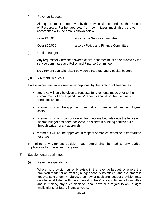#### (i) Revenue Budgets

All requests must be approved by the Service Director and also the Director of Resources. Further approval from committees must also be given in accordance with the details shown below

| Over £10,000 | also by the Service Committee        |
|--------------|--------------------------------------|
| Over £25,000 | also by Policy and Finance Committee |

#### (ii) Capital Budgets

Any request for virement between capital schemes must be approved by the service committee and Policy and Finance Committee.

No virement can take place between a revenue and a capital budget.

(iii) Virement Requests

Unless in circumstances seen as exceptional by the Director of Resources:

- approval will only be given to requests for virements made prior to the commitment of any expenditure. Virements should not be used as a retrospective tool
- virements will not be approved from budgets in respect of direct employee costs
- virements will only be considered from income budgets once the full year income budget has been achieved, or is certain of being achieved (i.e. through written grant approvals)
- virements will not be approved in respect of monies set aside in earmarked reserves.

In making any virement decision, due regard shall be had to any budget implications for future financial years.

#### (5) Supplementary estimates

(i) Revenue expenditure

Where no provision currently exists in the revenue budget, or where the provision made for an existing budget head is insufficient and a virement is not available under (4) above, then new or additional budget provision may only be established with the approval of the Policy and Finance Committee and in making any such decision, shall have due regard to any budget implications for future financial years.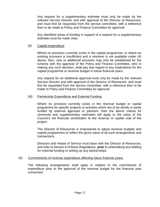Any request for a supplementary estimate must only be made by the relevant Service Director and with approval of the Director of Resources, and must first be requested from the service committee, with a reference then to be made to Policy and Finance Committee for approval.

Any identified areas of funding in support of a request for a supplementary estimate must be made clear.

#### (ii) Capital expenditure

Where no provision currently exists in the capital programme, or where an existing provision is insufficient and a virement is not available under (4) above, then, new or additional provision may only be established for the scheme with the approval of the Policy and Finance Committee, who in making any such decision, shall pay due regard to any implications for the capital programme or revenue budget in future financial years.

Any request for an additional approval must only be made by the relevant Service Director and with approval of the Director of Resources, and must first be requested from the service committee, with a reference then to be made to Policy and Finance Committee for approval

#### (iii) Partnership Expenditure and External Funding

Where no provision currently exists in the revenue budget or capital programme for specific projects or activities which are to be wholly or partly funded by external agencies or partners, then the above criteria for virements and supplementary estimates will apply to the value of the Council's net financial contribution to the revenue or capital cost of the project.

The Director of Resources is empowered to adjust revenue budgets and capital programmes to reflect the gross value of all such arrangements and transactions.

Directors and Heads of Service must liaise with the Director of Resources, and refer to Section 9 of these Regulations, **prior** to undertaking any bidding for external funding or setting up any partnerships.

#### (6) Commitments of revenue expenditure affecting future financial years.

The following arrangements shall apply in relation to the commitment of expenditure prior to the approval of the revenue budget for the financial year concerned: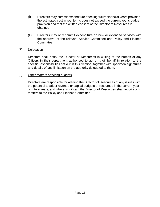- (i) Directors may commit expenditure affecting future financial years provided the estimated cost in real terms does not exceed the current year's budget provision and that the written consent of the Director of Resources is obtained.
- (ii) Directors may only commit expenditure on new or extended services with the approval of the relevant Service Committee and Policy and Finance **Committee**

#### (7) Delegation

Directors shall notify the Director of Resources in writing of the names of any Officers in their department authorised to act on their behalf in relation to the specific responsibilities set out in this Section, together with specimen signatures and details of any limitation on the authority delegated to them.

#### (8) Other matters affecting budgets

Directors are responsible for alerting the Director of Resources of any issues with the potential to affect revenue or capital budgets or resources in the current year or future years, and where significant the Director of Resources shall report such matters to the Policy and Finance Committee.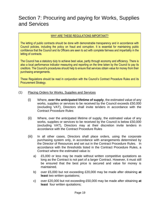### Section 7: Procuring and paying for Works, Supplies and Services

#### WHY ARE THESE REGULATIONS IMPORTANT?

The letting of public contracts should be done with demonstrable transparency and in accordance with Council policies, including the policy on fraud and corruption. It is essential for maintaining public confidence that the Council and its Officers are seen to act with complete fairness and impartiality in the letting of contracts.

The Council has a statutory duty to achieve best value, partly through economy and efficiency. There is also a local performance indicator measuring and reporting on the time taken by the Council to pay its creditors. The Council's procedures should help to ensure that services obtain value for money from their purchasing arrangements.

These Regulations should be read in conjunction with the Council's Contract Procedure Rules and its Procurement Strategy.

- (1) Placing Orders for Works, Supplies and Services
	- (i) Where, **over the anticipated lifetime of supply**, the estimated value of any works, supplies or services to be received by the Council exceeds £50,000 (excluding VAT), Directors shall invite tenders in accordance with the Contract Procedure Rules
	- (ii) Where, over the anticipated lifetime of supply, the estimated value of any works, supplies or services to be received by the Council is below £50,000 (excluding VAT), Directors may at their discretion invite tenders in accordance with the Contract Procedure Rules
	- (iii) In all other cases, Directors shall place orders, using the corporate purchasing system only, in accordance with arrangements determined by the Director of Resources and set out in the Contract Procedure Rules. In accordance with the thresholds listed in the Contract Procedure Rules, a Contract where the estimated value is:
		- a) £5,000 or less may be made without written competitive quotations as long as the Contract is not part of a larger Contract. However, it must still be ensured that the best price is secured and value for money is maintained.
		- b) over £5,000 but not exceeding £20,000 may be made after obtaining **at least** two written quotations;
		- c) over £20,000 but not exceeding £50,000 may be made after obtaining **at least** four written quotations;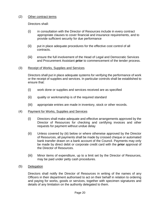#### (2) Other contract terms

Directors shall:

- (i) in consultation with the Director of Resources include in every contract appropriate clauses to cover financial and insurance requirements, and to provide sufficient security for due performance
- (ii) put in place adequate procedures for the effective cost control of all contracts.
- (iii) ensure the full involvement of the Head of Legal and Democratic Services and Procurement Assistant **prior** to commencement of the tender process.
- (3) Receipt of Works, Supplies and Services

Directors shall put in place adequate systems for verifying the performance of work or the receipt of supplies and services. In particular controls shall be established to ensure that:

- (i) work done or supplies and services received are as specified
- (ii) quality or workmanship is of the required standard
- (iii) appropriate entries are made in inventory, stock or other records.
- (4) Payment for Works, Supplies and Services
	- (i) Directors shall make adequate and effective arrangements approved by the Director of Resources for checking and certifying invoices and other requests for payment without undue delay
	- (ii) Unless covered by (iii) below or where otherwise approved by the Director of Resources, all payments shall be made by crossed cheque or automated bank transfer drawn on a bank account of the Council. Payments may only be made by direct debit or corporate credit card with the **prior** approval of the Director of Resources.
	- (iii) Minor items of expenditure, up to a limit set by the Director of Resources, may be paid under petty cash procedures.
- (5) Delegation

Directors shall notify the Director of Resources in writing of the names of any Officers in their department authorised to act on their behalf in relation to ordering and paying for works, goods or services, together with specimen signatures and details of any limitation on the authority delegated to them.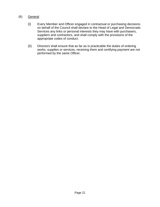#### (6) General

- (i) Every Member and Officer engaged in contractual or purchasing decisions on behalf of the Council shall declare to the Head of Legal and Democratic Services any links or personal interests they may have with purchasers, suppliers and contractors, and shall comply with the provisions of the appropriate codes of conduct.
- (ii) Directors shall ensure that as far as is practicable the duties of ordering works, supplies or services, receiving them and certifying payment are not performed by the same Officer.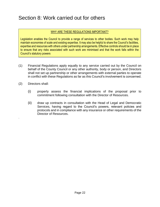### Section 8: Work carried out for others

#### WHY ARE THESE REGULATIONS IMPORTANT?

Legislation enables the Council to provide a range of services to other bodies. Such work may help maintain economies of scale and existing expertise. It may also be helpful to share the Council's facilities, expertise and resources with others under partnership arrangements. Effective controls should be in place to ensure that any risks associated with such work are minimised and that the work falls within the Council's statutory powers

- (1) Financial Regulations apply equally to any service carried out by the Council on behalf of the County Council or any other authority, body or person, and Directors shall not set up partnership or other arrangements with external parties to operate in conflict with these Regulations as far as this Council's involvement is concerned.
- (2) Directors shall:

.

- (i) properly assess the financial implications of the proposal prior to commitment following consultation with the Director of Resources.
- (ii) draw up contracts in consultation with the Head of Legal and Democratic Services, having regard to the Council's powers, relevant policies and protocols and in compliance with any insurance or other requirements of the Director of Resources.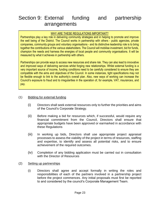### Section 9: External funding and partnership arrangements

#### WHY ARE THESE REGULATIONS IMPORTANT?

Partnerships play a key role in delivering community strategies and in helping to promote and improve the well being of the District. The Council works in partnership with others - public agencies, private companies, community groups and voluntary organisations - and its distinctive leadership role is to bring together the contributions of the various stakeholders. The Council will mobilise investment, bid for funds, champion the needs and harness the energies of local people and community organisations. It will be measured by what it achieves in partnership with others.

Partnerships can provide ways to access new resources and share risk. They can also lead to innovative and improved ways of delivering services whilst forging new relationships. Whilst external funding is a very important source of income, funding conditions need to be carefully considered to ensure they are compatible with the aims and objectives of the Council. In some instances, tight specifications may not be flexible enough to link to the authority's overall plan. Also, new ways of working can increase the Council's exposure to fraud and to irregularities in the operation of, for example, VAT, insurances, and pay.

#### (1) Bidding for external funding

- (i) Directors shall seek external resources only to further the priorities and aims of the Council's Corporate Strategy.
- (ii) Before making a bid for resources which, if successful, would require any financial commitment from the Council, Directors shall ensure that appropriate budgets have been approved or earmarked in accordance with these Regulations
- (iii) In working up bids, Directors shall use appropriate project appraisal processes to assess the viability of the project in terms of resources, staffing and expertise, to identify and assess all potential risks, and to ensure achievement of the required outcomes.
- (iv) Completion of any bidding application must be carried out in consultation with the Director of Resources
- (2) Setting up partnerships
	- (i) Directors shall agree and accept formally in writing the roles and responsibilities of each of the partners involved in a partnership project before the project commences. Any initial proposals must first be reported to and considered by the council's Corporate Management Team.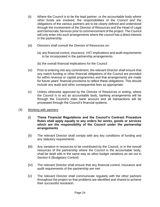- (ii) Where the Council is to be the lead partner, or the accountable body where other funds are involved, the responsibilities of the Council and the obligations of the various partners are to be clearly defined and understood through the involvement of the Director of Resources and the Head of Legal and Democratic Services prior to commencement of the project. The Council will only enter into such arrangements where the council has a direct interest in the partnership.
- (iii) Directors shall consult the Director of Resources on:
	- (a) any financial control, insurance, VAT implications and audit requirements to be incorporated in the partnership arrangements
	- (b) the overall financial implications for the Council
- (iv) Prior to entering into any commitment, the relevant Director shall ensure that any match funding or other financial obligations of the Council are provided for within revenue or capital programmes and that arrangements are made for future years' financial provisions to reflect these obligations. This should include any audit and other consequential fees as appropriate.
- (v) Unless otherwise approved by the Director of Resources in writing, where the Council is to act as accountable body, banking arrangements will be through the Council's main bank account and all transactions will be processed through the Council's financial systems.
- (3) Working with partners
	- (i) **These Financial Regulations and the Council's Contract Procedure Rules shall apply equally to any orders for works, goods or services which are the responsibility of the Council under the partnership arrangements**
	- (ii) The relevant Director shall comply with any key conditions of funding and any statutory requirements
	- (iii) Any variation in resources to be contributed by the Council, or in the overall resources of the partnership where the Council is the accountable body, shall be dealt with in the same way as other budget variations as set out in Section 6 (Budgetary Control)
	- (iv) The relevant Director shall ensure that any financial control, insurance and audit requirements of the partnership are met
	- (v) The relevant Director shall communicate regularly with the other partners throughout the project so that problems are identified and shared to achieve their successful resolution.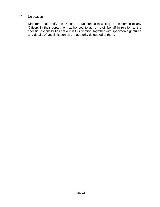#### (4) Delegation

Directors shall notify the Director of Resources in writing of the names of any Officers in their department authorised to act on their behalf in relation to the specific responsibilities set out in this Section, together with specimen signatures and details of any limitation on the authority delegated to them.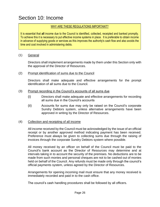### Section 10: Income

#### WHY ARE THESE REGULATIONS IMPORTANT?

It is essential that **all** income due to the Council is identified, collected, receipted and banked promptly. To achieve this it is necessary to put effective income systems in place. It is preferable to obtain income in advance of supplying goods or services as this improves the authority's cash flow and also avoids the time and cost involved in administering debts.

#### (1) General

Directors shall implement arrangements made by them under this Section only with the approval of the Director of Resources.

#### (2) Prompt identification of sums due to the Council

Directors shall make adequate and effective arrangements for the prompt identification of all sums due to the Council.

#### (3) Prompt recording in the Council's accounts of all sums due

- (i) Directors shall make adequate and effective arrangements for recording all sums due in the Council's accounts
- (ii) Accounts for sums due may only be raised on the Council's corporate Sundry Debtors system, unless alternative arrangements have been approved in writing by the Director of Resources.

#### (4) Collection and receipting of all income

All income received by the Council must be acknowledged by the issue of an official receipt or by another approved method indicating payment has been received. Preference must always be given to collecting sums due through the raising of invoices through the corporate Sundry Debtors system where possible.

All money received by an officer on behalf of the Council must be paid to the Council's bank account as the Director of Resources may determine and at intervals taking in to account the security of the premises. No deductions are to be made from such monies and personal cheques are not to be cashed out of monies held on behalf of the Council. Any refunds must be made only through the council's official payments system, unless agreed by the Director of Resources.

Arrangements for opening incoming mail must ensure that any money received is immediately recorded and paid in to the cash office.

The council's cash handling procedures shall be followed by all officers.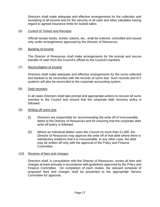Directors shall make adequate and effective arrangements for the collection and receipting of all income and for the security of all cash and other valuables having regard to agreed insurance limits for locked safes.

#### (5) Control of Tickets and Receipts

Official receipt books, tickets, tokens, etc., shall be ordered, controlled and issued only under arrangements approved by the Director of Resources.

#### (6) Banking of income

The Director of Resources shall make arrangements for the prompt and secure transfer of cash from the Council's offices to the Council's bankers.

#### (7) Reconciliation of income

Directors shall make adequate and effective arrangements for the sums collected and banked to be reconciled with the records of sums due. Such records and ICT systems will also be reconciled to the corporate accounting system.

#### (8) Debt recovery

In all cases Directors shall take prompt and appropriate actions to recover all sums overdue to the Council and ensure that the corporate debt recovery policy is followed.

#### (9) Writing off sums due

- (i) Directors are responsible for recommending the write off of irrecoverable debts to the Director of Resources and for ensuring that the corporate debt write-off policy is followed.
- (ii) Where an individual debtor owes the Council no more than £1,000, the Director of Resources may approve the write off of that debt where there is satisfactory evidence that it is irrecoverable. In any other case, the debt may be written off only with the approval of the Policy and Finance Committee.

#### (10) Reviews of fees and charges

Directors shall, in consultation with the Director of Resources, review all fees and charges at least annually in accordance with guidelines approved by the Policy and Finance Committee. On completion of each review, the relevant schedule of proposed fees and charges shall be presented to the appropriate Service Committee for approval.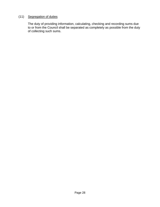#### (11) Segregation of duties

The duty of providing information, calculating, checking and recording sums due to or from the Council shall be separated as completely as possible from the duty of collecting such sums.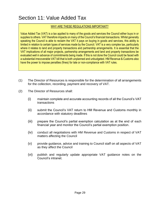### Section 11: Value Added Tax

#### WHY ARE THESE REGULATIONS IMPORTANT?

Value Added Tax (VAT) is a tax applied to many of the goods and services the Council either buys in or supplies to others. VAT therefore impacts on many of the Council's financial transactions. Whilst generally speaking the Council is able to reclaim the VAT it pays on buying in goods and services, this ability is limited in relation to certain types of services made by the Council. VAT is a very complex tax, particularly where it relates to land and property transactions and partnership arrangements. It is essential that the VAT implications of all major projects, partnership arrangements and land and property transactions be evaluated well in advance of commitments being made. If this is not done the Council could be faced with a substantial irrecoverable VAT bill that is both unplanned and unbudgeted. HM Revenue & Customs also have the power to impose penalties (fines) for late or non-compliance with VAT rules.

- (1) The Director of Resources is responsible for the determination of all arrangements for the collection, recording, payment and recovery of VAT.
- (2) The Director of Resources shall:
	- (i) maintain complete and accurate accounting records of all the Council's VAT transactions
	- (ii) submit the Council's VAT return to HM Revenue and Customs monthly in accordance with statutory deadlines
	- (iii) prepare the Council's partial exemption calculation as at the end of each financial year and monitor the Council's partial exemption position.
	- (iv) conduct all negotiations with HM Revenue and Customs in respect of VAT matters affecting the Council
	- (v) provide guidance, advice and training to Council staff on all aspects of VAT as they affect the Council
	- (vi) publish and regularly update appropriate VAT guidance notes on the Council's intranet.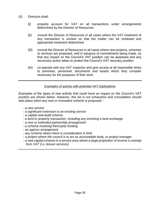- (3) Directors shall:
	- (i) properly account for VAT on all transactions under arrangements determined by the Director of Resources
	- (ii) consult the Director of Resources in all cases where the VAT treatment of any transaction is unclear so that the matter can be reviewed and appropriate treatment determined
	- (iii) consult the Director of Resources in all cases where new projects, schemes or services are proposed, well in advance of commitments being made, so that any impact on the Council's VAT position can be assessed and any necessary action taken to protect the Council's VAT recovery position
	- (iv) co-operate with any VAT inspector and give access at all reasonable times to premises, personnel, documents and assets which they consider necessary for the purposes of their work.

#### *Examples of activity with potential VAT implications*

*Examples of the types of new activity that could have an impact on the Council's VAT position are shown below. However, this list is not exhaustive and consultation should take place when any new or innovative scheme is proposed: -*

- *a new service*
- *a significant extension to an existing service*
- *a capital new-build scheme*
- *a land or property transaction, including any involving a land exchange*
- *a new or extended partnership arrangement*
- *a scheme involving third party funding*
- *an agency arrangement*
- *any scheme where there is consideration in kind*
- *- a project where the council is to act as accountable body, or project manager*
- *- a new capital scheme in a service area where a large proportion of income is exempt from VAT (i.e. leisure services)*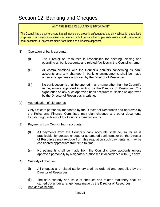### Section 12: Banking and Cheques

#### WHY ARE THESE REGULATIONS IMPORTANT?

The Council has a duty to ensure that all monies are properly safeguarded and only utilised for authorised purposes. It is therefore necessary to have controls to ensure the proper authorisation and control of all bank accounts, all payments made from them and all income deposited.

#### (1) Operation of bank accounts

- (i) The Director of Resources is responsible for opening, closing and operating all bank accounts and related facilities in the Council's name
- (ii) All communications with the Council's bankers concerning its bank accounts and any changes in banking arrangements shall be made under arrangements approved by the Director of Resources.
- (iii) No bank accounts shall be opened in any name other than the Council's name, unless approved in writing by the Director of Resources. The signatories on any such approved bank accounts must also be approved by the Director of Resources in writing.
- (2) Authorisation of signatories

Only Officers personally mandated by the Director of Resources and approved by the Policy and Finance Committee may sign cheques and other documents transferring funds out of the Council's bank accounts.

- (3) Payments from Council bank accounts
	- (i) All payments from the Council's bank accounts shall be, so far as is practicable, by crossed cheque or automated bank transfer but the Director of Resources may exclude from this regulation such payments as may be considered appropriate from time to time.
	- (ii) No payments shall be made from the Council's bank accounts unless approved personally by a signatory authorised in accordance with (2) above.
- (4) Custody of cheques
	- (i) All cheques and related stationery shall be ordered and controlled by the Director of Resources
	- (ii) The safe custody and issue of cheques and related stationery shall be carried out under arrangements made by the Director of Resources.
- (5) Banking of income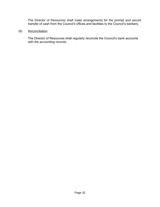The Director of Resources shall make arrangements for the prompt and secure transfer of cash from the Council's offices and facilities to the Council's bankers.

(6) Reconciliation

The Director of Resources shall regularly reconcile the Council's bank accounts with the accounting records.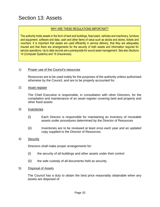### Section 13: Assets

#### WHY ARE THESE REGULATIONS IMPORTANT?

The authority holds assets in the form of land and buildings, fixed plant, vehicles and machinery, furniture and equipment, software and data, cash and other items of value such as stocks and stores, tickets and vouchers. It is important that assets are used efficiently in service delivery, that they are adequately insured and that there are arrangements for the security of both assets and information required for service operations. Up to date records are a prerequisite for sound asset management. See also Sections 14 (Computer Systems) and 15 (Insurances).

#### 1) Proper use of the Council's resources

Resources are to be used solely for the purposes of the authority unless authorised otherwise by the Council, and are to be properly accounted for.

2) Asset register

The Chief Executive is responsible, in consultation with other Directors, for the compilation and maintenance of an asset register covering land and property and other fixed assets

- 3) Inventories
	- (i) Each Director is responsible for maintaining an inventory of moveable assets under procedures determined by the Director of Resources
	- (ii) Inventories are to be reviewed at least once each year and an updated copy supplied to the Director of Resources.

#### 4) Security

Directors shall make proper arrangements for:

- (i) the security of all buildings and other assets under their control
- (ii) the safe custody of all documents held as security.
- 5) Disposal of Assets

The Council has a duty to obtain the best price reasonably obtainable when any assets are disposed of.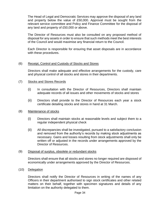The Head of Legal and Democratic Services may approve the disposal of any land and property below the value of £50,000. Approval must be sought from the relevant service committee and Policy and Finance Committee for the disposal of any land and property of £50,000 or above.

The Director of Resources must also be consulted on any proposed method of disposal for any assets in order to ensure that such methods meet the best interests of the Council and would maximise any financial return to the Council.

Each Director is responsible for ensuring that asset disposals are in accordance with these procedures.

#### (6) Receipt, Control and Custody of Stocks and Stores

Directors shall make adequate and effective arrangements for the custody, care and physical control of all stocks and stores in their departments.

- (7) Stocks and Stores Records
	- (i) In consultation with the Director of Resources, Directors shall maintain adequate records of all issues and other movements of stocks and stores
	- (ii) Directors shall provide to the Director of Resources each year a stock certificate detailing stocks and stores in hand at 31 March.

#### (8) Maintenance of stocks

- (i) Directors shall maintain stocks at reasonable levels and subject them to a regular independent physical check
- (ii) All discrepancies shall be investigated, pursued to a satisfactory conclusion and removed from the authority's records by making stock adjustments as necessary. Gains and losses resulting from stock adjustments shall only be written off or adjusted in the records under arrangements approved by the Director of Resources.

#### (9) Disposal of surplus, obsolete or redundant stocks

Directors shall ensure that all stocks and stores no longer required are disposed of economically under arrangements approved by the Director of Resources.

(10) Delegation

Directors shall notify the Director of Resources in writing of the names of any Officers in their department authorised to sign stock certificates and other related matters on their behalf, together with specimen signatures and details of any limitation on the authority delegated to them.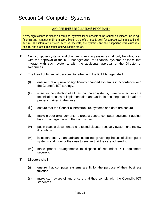### Section 14: Computer Systems

#### WHY ARE THESE REGULATIONS IMPORTANT?

A very high reliance is placed on computer systems for all aspects of the Council's business, including financial and management information. Systems therefore need to be fit for purpose, well managed and secure. The information stored must be accurate, the systems and the supporting infrastructures secure, and procedures sound and well administered.

- (1) New computer systems and changes to existing systems shall only be introduced with the approval of the ICT Manager and, for financial systems or those that interact with such systems, with the additional approval of the Director of Resources.
- (2) The Head of Financial Services, together with the ICT Manager shall:
	- (i) ensure that any new or significantly changed system is in accordance with the Council's ICT strategy.
	- (ii) assist in the selection of all new computer systems, manage effectively the technical process of implementation and assist in ensuring that all staff are properly trained in their use.
	- (iii) ensure that the Council's infrastructure, systems and data are secure
	- (iv) make proper arrangements to protect central computer equipment against loss or damage through theft or misuse
	- (v) put in place a documented and tested disaster recovery system and review it regularly
	- (vi) issue mandatory standards and guidelines governing the use of all computer systems and monitor their use to ensure that they are adhered to.
	- (vii) make proper arrangements to dispose of redundant ICT equipment securely.
- (3) Directors shall:
	- (i) ensure that computer systems are fit for the purpose of their business function
	- (ii) make staff aware of and ensure that they comply with the Council's ICT standards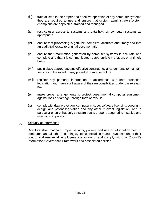- (iii) train all staff in the proper and effective operation of any computer systems they are required to use and ensure that system administrators/system champions are appointed, trained and managed
- (iv) restrict user access to systems and data held on computer systems as appropriate
- (v) ensure that processing is genuine, complete, accurate and timely and that an audit trail exists to original documentation
- (vi) ensure that information generated by computer systems is accurate and complete and that it is communicated to appropriate managers on a timely basis
- (vii) put in place appropriate and effective contingency arrangements to maintain services in the event of any potential computer failure
- (viii) register any personal information in accordance with data protection legislation and make staff aware of their responsibilities under the relevant law
- (ix) make proper arrangements to protect departmental computer equipment against loss or damage through theft or misuse
- (x) comply with data protection, computer misuse, software licensing, copyright, design and patent legislation and any other relevant legislation, and in particular ensure that only software that is properly acquired is installed and used on computers.

#### (4) Security of Information

Directors shall maintain proper security, privacy and use of information held in computers and all other recording systems, including manual systems, under their control and ensure all employees are aware of and comply with the Council's Information Governance Framework and associated policies.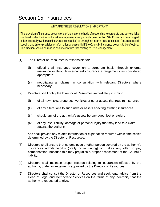### Section 15: Insurances

#### WHY ARE THESE REGULATIONS IMPORTANT?

The provision of insurance cover is one of the major methods of responding to corporate and service risks identified under the Council's risk management arrangements (see Section 16). Cover can be arranged either externally (with major insurance companies) or through an internal insurance pool. Accurate record keeping and timely provision of information are essential if the Council's insurance cover is to be effective. This Section should be read in conjunction with that relating to Risk Management.

- (1) The Director of Resources is responsible for:
	- (i) effecting all insurance cover on a corporate basis, through external insurance or through internal self-insurance arrangements as considered appropriate
	- (ii) negotiating all claims, in consultation with relevant Directors where necessary.
- (2) Directors shall notify the Director of Resources immediately in writing:
	- (i) of all new risks, properties, vehicles or other assets that require insurance;
	- (ii) of any alterations to such risks or assets affecting existing insurances;
	- (iii) should any of the authority's assets be damaged, lost or stolen;
	- (iv) of any loss, liability, damage or personal injury that may lead to a claim against the authority.

and shall provide any related information or explanation required within time scales determined by the Director of Resources.

- (3) Directors shall ensure that no employee or other person covered by the authority's insurances admits liability (orally or in writing) or makes any offer to pay compensation, because this may prejudice a proper assessment of the Council's liability.
- (4) Directors shall maintain proper records relating to insurances effected by the authority, under arrangements approved by the Director of Resources.
- (5) Directors shall consult the Director of Resources and seek legal advice from the Head of Legal and Democratic Services on the terms of any indemnity that the authority is requested to give.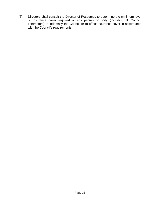(6) Directors shall consult the Director of Resources to determine the minimum level of insurance cover required of any person or body (including all Council contractors) to indemnify the Council or to effect insurance cover in accordance with the Council's requirements.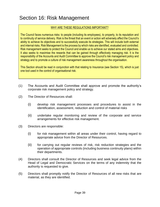### Section 16: Risk Management

#### WHY ARE THESE REGULATIONS IMPORTANT?

The Council faces numerous risks: to people (including its employees), to property, to its reputation and to continuity of service delivery. Risk is the threat that an event or action will adversely affect the Council's ability to achieve its objectives and to successfully execute its strategies. This will include both external and internal risks. Risk Management is the process by which risks are identified, evaluated and controlled. Risk management seeks to protect the Council and enable us to achieve our stated aims and objectives. It also seeks to maximise the rewards that can be gained through effectively managing risk. It is the responsibility of the Accounts and Audit Committee to approve the Council's risk management policy and strategy and to promote a culture of risk management awareness throughout the organisation.

This Section should be read in conjunction with that relating to Insurance (see Section 15), which is just one tool used in the control of organisational risk.

- (1) The Accounts and Audit Committee shall approve and promote the authority's corporate risk management policy and strategy.
- (2) The Director of Resources shall:
	- (i) develop risk management processes and procedures to assist in the identification, assessment, reduction and control of material risks
	- (ii) undertake regular monitoring and review of the corporate and service arrangements for effective risk management.
- (3) Directors are responsible:
	- (i) for risk management within all areas under their control, having regard to appropriate advice from the Director of Resources.
	- (ii) for carrying out regular reviews of risk, risk reduction strategies and the operation of appropriate controls (including business continuity plans) within their departments.
- (4) Directors shall consult the Director of Resources and seek legal advice from the Head of Legal and Democratic Services on the terms of any indemnity that the authority is requested to give.
- (5) Directors shall promptly notify the Director of Resources of all new risks that are material, as they are identified.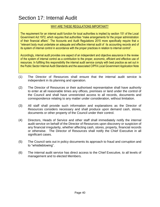### Section 17: Internal Audit

#### WHY ARE THESE REGULATIONS IMPORTANT?

The requirement for an internal audit function for local authorities is implied by section 151 of the Local Government Act 1972, which requires that authorities "make arrangements for the proper administration of their financial affairs". The Accounts and Audit Regulations 2015 more specifically require that a "relevant body must undertake an adequate and effective internal audit of its accounting records and of its system of internal control in accordance with the proper practices in relation to internal control".

Accordingly, internal audit provides one aspect of an independent and objective assurance in the review of the system of internal control as a contribution to the proper, economic, efficient and effective use of resources. In fulfilling this responsibility the internal audit service comply with best practice as set out in the Public Sector Internal Audit Standards and the associated CIPFA Local Government Application Note

- (1) The Director of Resources shall ensure that the internal audit service is independent in its planning and operation.
- (2) The Director of Resources or their authorised representative shall have authority to enter at all reasonable times any offices, premises or land under the control of the Council and shall have unrestricted access to all records, documents and correspondence relating to any matter under consideration, without limitation.
- (3) All staff shall provide such information and explanations as the Director of Resources considers necessary and shall produce upon demand cash, stores, documents or other property of the Council under their control.
- (4) Directors, Heads of Service and other staff shall immediately notify the internal audit service on behalf of the Director of Resources upon discovery or suspicion of any financial irregularity, whether affecting cash, stores, property, financial records or otherwise. The Director of Resources shall notify the Chief Executive in all significant cases.
- (5) The Council sets out in policy documents its approach to fraud and corruption and to "whistleblowing".
- (6) The internal audit service has direct access to the Chief Executive, to all levels of management and to elected Members.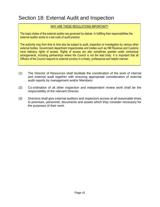### Section 18: External Audit and Inspection

#### WHY ARE THESE REGULATIONS IMPORTANT?

The basic duties of the external auditor are governed by statute. In fulfilling their responsibilities the external auditor works to a set code of audit practice.

The authority may from time to time also be subject to audit, inspection or investigation by various other external bodies. Government department inspectorates and bodies such as HM Revenue and Customs have statutory rights of access. Rights of access are also sometimes granted under contractual arrangements, including partnerships where the Council is not the lead body. It is important that all Officers of the Council respond to external scrutiny in a timely, professional and helpful manner.

- (1) The Director of Resources shall facilitate the coordination of the work of internal and external audit together with ensuring appropriate consideration of external audit reports by management and/or Members.
- (2) Co-ordination of all other inspection and independent review work shall be the responsibility of the relevant Director.
- (3) Directors shall give external auditors and inspectors access at all reasonable times to premises, personnel, documents and assets which they consider necessary for the purposes of their work.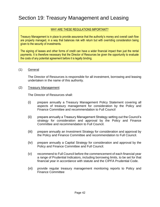### Section 19: Treasury Management and Leasing

#### WHY ARE THESE REGULATIONS IMPORTANT?

Treasury Management is in place to provide assurance that the authority's money and overall cash flow are properly managed, in a way that balances risk with return but with overriding consideration being given to the security of investments.

The signing of leases and other forms of credit can have a wider financial impact than just the rental payments. It is therefore necessary that the Director of Resources be given the opportunity to evaluate the costs of any potential agreement before it is legally binding.

#### (1) General

The Director of Resources is responsible for all investment, borrowing and leasing undertaken in the name of this authority.

#### (2) Treasury Management

The Director of Resources shall:

- (i) prepare annually a Treasury Management Policy Statement covering all aspects of treasury management for consideration by the Policy and Finance Committee and recommendation to Full Council
- (ii) prepare annually a Treasury Management Strategy setting out the Council's strategy for consideration and approval by the Policy and Finance Committee and recommendation to Full Council.
- (iii) prepare annually an Investment Strategy for consideration and approval by the Policy and Finance Committee and recommendation to Full Council.
- (iv) prepare annually a Capital Strategy for consideration and approval by the Policy and Finance Committee and Full Council.
- (v) recommend to Full Council before the commencement of each financial year a range of Prudential Indicators, including borrowing limits, to be set for that financial year in accordance with statute and the CIPFA Prudential Code.
- (vi) provide regular treasury management monitoring reports to Policy and Finance Committee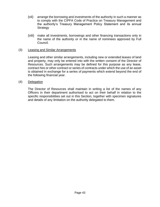- (vii) arrange the borrowing and investments of the authority in such a manner as to comply with the CIPFA Code of Practice on Treasury Management and the authority's Treasury Management Policy Statement and its annual **Strategy**
- (viii) make all investments, borrowings and other financing transactions only in the name of the authority or in the name of nominees approved by Full Council.

#### (3) Leasing and Similar Arrangements

Leasing and other similar arrangements, including new or extended leases of land and property, may only be entered into with the written consent of the Director of Resources. Such arrangements may be defined for this purpose as any lease, contract hire or other contract or series of contracts under which the use of an asset is obtained in exchange for a series of payments which extend beyond the end of the following financial year.

#### (4) Delegation

The Director of Resources shall maintain in writing a list of the names of any Officers in their department authorised to act on their behalf in relation to the specific responsibilities set out in this Section, together with specimen signatures and details of any limitation on the authority delegated to them.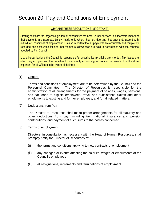### Section 20: Pay and Conditions of Employment

#### WHY ARE THESE REGULATIONS IMPORTANT?

Staffing costs are the largest single item of expenditure for most Council services. It is therefore important that payments are accurate, timely, made only where they are due and that payments accord with individuals' conditions of employment. It is also important that all payments are accurately and completely recorded and accounted for and that Members' allowances are paid in accordance with the scheme adopted by Full Council.

Like all organisations, the Council is responsible for ensuring its tax affairs are in order. Tax issues are often very complex and the penalties for incorrectly accounting for tax can be severe. It is therefore important for all Officers to be aware of their role.

#### (1) General

Terms and conditions of employment are to be determined by the Council and the Personnel Committee. The Director of Resources is responsible for the administration of all arrangements for the payment of salaries, wages, pensions, and car loans to eligible employees, travel and subsistence claims and other emoluments to existing and former employees, and for all related matters.

#### (2) Deductions from Pay

The Director of Resources shall make proper arrangements for all statutory and other deductions from pay, including tax, national insurance and pension contributions, and payment of such sums to the bodies concerned.

#### (3) Terms of employment

Directors, in consultation as necessary with the Head of Human Resources, shall promptly notify the Director of Resources of:

- (i) the terms and conditions applying to new contracts of employment
- (ii) any changes or events affecting the salaries, wages or emoluments of the Council's employees
- (iii) all resignations, retirements and terminations of employment.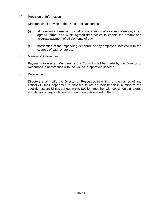#### (4) Provision of Information

Directors shall provide to the Director of Resources:

- (i) all relevant information, including notifications of sickness absence, in an agreed format and within agreed time scales to enable the prompt and accurate payment of all elements of pay
- (ii) notification of the impending departure of any employee involved with the custody of cash or stores.

#### (5) Members' Allowances

Payments to elected Members of the Council shall be made by the Director of Resources in accordance with the Council's approved scheme.

(6) Delegation

Directors shall notify the Director of Resources in writing of the names of any Officers in their department authorised to act on their behalf in relation to the specific responsibilities set out in this Section, together with specimen signatures and details of any limitation on the authority delegated to them.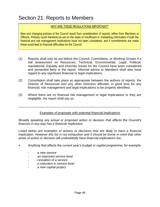### Section 21: Reports to Members

#### WHY ARE THESE REGULATIONS IMPORTANT?

New and changing policies of the Council result from consideration of reports, either from Members or Officers. Policies could therefore be set on the basis of insufficient or misleading information if both the financial and risk management implications have not been considered, and if commitments are made these could lead to financial difficulties for the Council.

- (1) Reports shall only be put before the Council, Committees, or Working Groups if a risk assessment on Resources, Technical, Environmental, Legal, Political, reputational, Equality and Diversity issues for the Council have been considered and presented fairly in the report. Informal advice to Members shall also have regard to any significant financial or legal implications.
- (2) Consultation shall take place as appropriate between the authors of reports, the Director of Resources and any other Directors affected, in good time for any financial, risk management and legal implications to be properly identified.
- (3) Where there are no financial risk management or legal implications or they are negligible, the report shall say so.

#### *Examples of proposals with potential financial implications*

\_\_\_\_\_\_\_\_\_\_\_\_\_\_\_\_\_\_\_\_\_\_\_\_\_\_\_\_\_\_\_\_\_\_\_\_\_\_\_\_\_\_\_\_\_\_\_\_\_\_\_\_\_\_\_\_\_\_\_\_\_\_\_\_\_\_\_\_\_\_

*Broadly speaking any actual or proposed action or decision that affects the Council's finances in any way has a financial implication.*

Listed below are examples of actions or decisions that are likely to have a financial *implication. However this list is not exhaustive and it should be borne in mind that other areas of action or decision will undoubtedly have financial implications too.*

- *Anything that affects the current year's budget or capital programme, for example:*
	- *a new service*
	- *an improved service level*
	- *cessation of a service*
	- *a reduction in service level*
	- *a new capital project*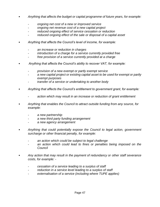- *Anything that affects the budget or capital programme of future years, for example:*
	- *ongoing net cost of a new or improved service*
	- *ongoing net revenue cost of a new capital project*
	- *reduced ongoing effect of service cessation or reduction*
	- reduced ongoing effect of the sale or disposal of a capital asset
- *Anything that affects the Council's level of income, for example:*
	- *an increase or reduction in charges*
	- introduction of a charge for a service currently provided free
	- *free provision of a service currently provided at a charge*
- *Anything that affects the Council's ability to recover VAT, for example:*
	- *provision of a new exempt or partly exempt service*
	- a new capital project or existing capital asset to be used for exempt or partly *exempt purposes*
	- *transfer of a service or undertaking to another body*
- *Anything that affects the Council's entitlement to government grant, for example:*
	- *action which may result in an increase or reduction of grant entitlement*
- *Anything that enables the Council to attract outside funding from any source, for example:*
	- *a new partnership*
	- *a new third party funding arrangement*
	- *a new agency arrangement*
- *Anything that could potentially expose the Council to legal action, government surcharge or other financial penalty, for example:*
	- an action which could be subject to legal challenge
	- an action which could lead to fines or penalties being imposed on the *Council*
- *Any action that may result in the payment of redundancy or other staff severance costs, for example: -*
	- *cessation of a service leading to a surplus of staff*
	- *reduction in a service level leading to a surplus of staff*
	- externalisation of a service (including where TUPE applies)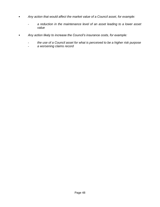- *Any action that would affect the market value of a Council asset, for example:*
	- *a reduction in the maintenance level of an asset leading to a lower asset value*
- *Any action likely to increase the Council's insurance costs, for example:*
	- *the use of a Council asset for what is perceived to be a higher risk purpose*
	- *a worsening claims record*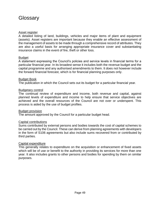### **Glossary**

#### Asset register

A detailed listing of land, buildings, vehicles and major items of plant and equipment (assets). Asset registers are important because they enable an effective assessment of the management of assets to be made through a comprehensive record of attributes. They are also a useful basis for arranging appropriate insurance cover and substantiating insurance claims in the event of fire, theft or other loss.

#### Budget

A statement expressing the Council's policies and service levels in financial terms for a particular financial year. In its broadest sense it includes both the revenue budget and the capital programme and any authorised amendments to them. It does not however include the forward financial forecast, which is for financial planning purposes only.

#### Budget Book

The publication in which the Council sets out its budget for a particular financial year.

#### Budgetary control

The continual review of expenditure and income, both revenue and capital, against planned levels of expenditure and income to help ensure that service objectives are achieved and the overall resources of the Council are not over or underspent. This process is aided by the use of budget profiles.

#### Budget provision

The amount approved by the Council for a particular budget head.

#### Capital contributions

Sums contributed by external persons and bodies towards the cost of capital schemes to be carried out by the Council. These can derive from planning agreements with developers in the form of S106 agreements but also include sums recovered from or contributed by third parties.

#### Capital expenditure

This generally relates to expenditure on the acquisition or enhancement of fixed assets which will be of use or benefit to the authority in providing its services for more than one year. It also includes grants to other persons and bodies for spending by them on similar purposes.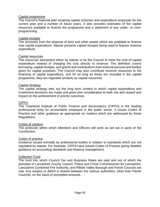#### Capital programme

The Council's financial plan covering capital schemes and expenditure proposals for the current year and a number of future years. It also provides estimates of the capital resources available to finance the programme and a statement of any under- or overprogramming.

#### Capital receipts

The proceeds from the disposal of land and other assets which are available to finance new capital expenditure. Statute prevents capital receipts being used to finance revenue expenditure.

#### Capital resources

The resources earmarked either by statute or by the Council to meet the cost of capital expenditure instead of charging the cost directly to revenue. The definition covers borrowing, capital receipts, and grants and contributions from external persons and bodies given for capital purposes. The Council may also contribute revenue resources to the financing of capital expenditure, and for as long as these are included in the capital programme, they are regarded similarly as capital resources.

#### Capital Strategy

The capital strategy sets out the long term context in which capital expenditure and investment decisions are made and gives due consideration to both risk and reward and impact on the achievement of priority outcomes.

#### CIPFA

The Chartered Institute of Public Finance and Accountancy (CIPFA) is the leading professional body for accountants employed in the public sector. It issues Codes of Practice and other guidance as appropriate on matters which are addressed by these Regulations.

#### Codes of conduct

The protocols within which Members and Officers will work as set out in parts of the **Constitution** 

#### Codes of practice

Guidance issued normally by professional bodies in relation to standards which are not regulated by statute. For example, CIPFA have issued Codes of Practice giving detailed guidance on accounting standards and treasury management.

#### Collection Fund

The fund into which Council Tax and Business Rates are paid and out of which the precepts of Lancashire County Council, Police and Crime Commissioner for Lancashire, Lancashire Combined Fire Authority, and Ribble Valley Borough and Parish Councils are met. Any surplus or deficit is shared between the various authorities, other than Parish Councils, on the basis of precepted amounts.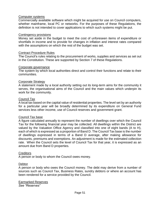#### Computer systems

Commercially available software which might be acquired for use on Council computers, whether mainframe, local PC or networks. For the purposes of these Regulations, the definition is not intended to cover applications to which such systems might be put.

#### Contingency provisions

Money set aside in the budget to meet the cost of unforeseen items of expenditure or shortfalls in income and to provide for changes in inflation and interest rates compared with the assumptions on which the rest of the budget was set.

#### Contract Procedure Rules

The Council's rules relating to the procurement of works, supplies and services as set out in the Constitution. These are supported by Section 7 of these Regulations.

#### Corporate governance

The system by which local authorities direct and control their functions and relate to their communities.

#### Corporate Strategy

A statement made by a local authority setting out its long-term aims for the community it serves, the organisational aims of the Council and the main values which underpin its work for the community.

#### Council Tax

A local tax based on the capital value of residential properties. The level set by an authority for a particular year will be broadly determined by its expenditure on General Fund services less other income, use of Council reserves and government grant.

#### Council Tax base

A figure calculated annually to represent the number of dwellings over which the Council Tax for the following financial year may be collected. All dwellings within the District are valued by the Valuation Office Agency and classified into one of eight bands (A to H), each of which is expressed as a proportion of Band D. The Council Tax base is the number of dwellings expressed in terms of a Band D average, after making allowance for discounts, premiums and exemptions. An adjustment is made for the estimated collection rate. When the Council sets the level of Council Tax for that year, it is expressed as an amount due from Band D properties.

#### **Creditors**

A person or body to whom the Council owes money.

#### **Debtor**

A person or body who owes the Council money. The debt may derive from a number of sources such as Council Tax, Business Rates, sundry debtors or where an account has been rendered for a service provided by the Council.

Earmarked Reserves *See "Reserves"*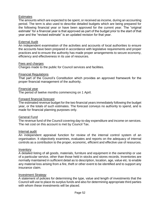#### **Estimates**

The amounts which are expected to be spent, or received as income, during an accounting period. The term is also used to describe detailed budgets which are being prepared for the following financial year or have been approved for the current year. The "original estimate" for a financial year is that approved as part of the budget prior to the start of that year and the "revised estimate" is an updated revision for that year.

#### External Audit

An independent examination of the activities and accounts of local authorities to ensure the accounts have been prepared in accordance with legislative requirements and proper practices and to ensure the authority has made proper arrangements to secure economy, efficiency and effectiveness in its use of resources.

#### Fees and charges

Charges made to the public for Council services and facilities.

#### Financial Regulations

That part of the Council's Constitution which provides an approved framework for the proper financial management of the authority.

#### Financial year

The period of twelve months commencing on 1 April.

#### Forward financial forecast

The estimated revenue budget for the two financial years immediately following the budget year, or the totals of such estimates. The forecast conveys no authority to spend, and is made for financial planning purposes only.

#### General Fund

The revenue fund of the Council covering day-to-day expenditure and income on services. The net cost on this account is met by Council Tax.

#### Internal audit

An independent appraisal function for review of the internal control system of an organisation. It objectively examines, evaluates and reports on the adequacy of internal controls as a contribution to the proper, economic, efficient and effective use of resources.

#### **Inventory**

A detailed listing of all goods, materials, furniture and equipment in the ownership or use of a particular service, other than those held in stocks and stores records. Inventories are normally maintained in sufficient detail as to description, location, age, value etc. to enable any material loss arising from a fire, theft or other event to be identified and to support any insurance claim.

#### Investment Strategy

A statement of policies for determining the type, value and length of investments that the Council will use to place its surplus funds and also for determining appropriate third parties with whom these investments will be placed.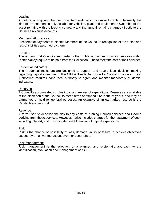#### Leasing

A method of acquiring the use of capital assets which is similar to renting. Normally this kind of arrangement is only suitable for vehicles, plant and equipment. Ownership of the asset remains with the leasing company and the annual rental is charged directly to the Council's revenue accounts.

#### Members' Allowances

A scheme of payments to elected Members of the Council in recognition of the duties and responsibilities assumed by them.

#### Precept

The amount that Councils and certain other public authorities providing services within Ribble Valley require to be paid from the Collection Fund to meet the cost of their services.

#### Prudential Indicators

The Prudential Indicators are designed to support and record local decision making regarding capital investment. The CIPFA 'Prudential Code for Capital Finance in Local Authorities' requires each local authority to agree and monitor mandatory prudential indicators.

#### Reserves

A Council's accumulated surplus income in excess of expenditure. Reserves are available at the discretion of the Council to meet items of expenditure in future years, and may be earmarked or held for general purposes. An example of an earmarked reserve is the Capital Reserve Fund.

#### Revenue

A term used to describe the day-to-day costs of running Council services and income deriving from those services. However, it also includes charges for the repayment of debt, including interest, and may include direct financing of capital expenditure.

#### Risk

Risk is the chance or possibility of loss, damage, injury or failure to achieve objectives caused by an unwanted action, event or occurrence.

#### Risk management

Risk management is the adoption of a planned and systematic approach to the identification, evaluation and management of risk.